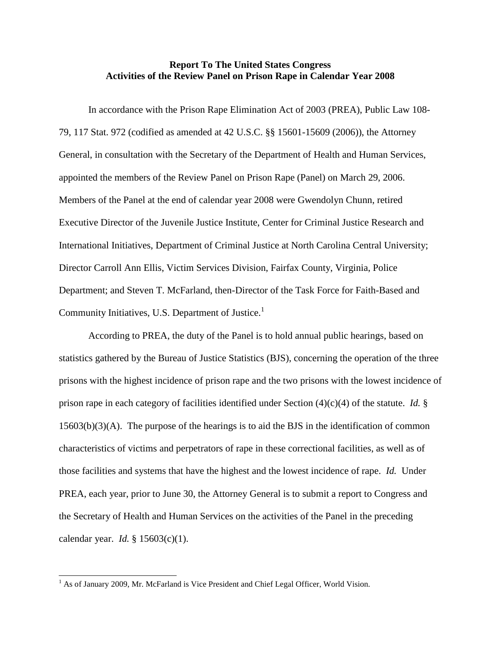## **Report To The United States Congress Activities of the Review Panel on Prison Rape in Calendar Year 2008**

In accordance with the Prison Rape Elimination Act of 2003 (PREA), Public Law 108- 79, 117 Stat. 972 (codified as amended at 42 U.S.C. §§ 15601-15609 (2006)), the Attorney General, in consultation with the Secretary of the Department of Health and Human Services, appointed the members of the Review Panel on Prison Rape (Panel) on March 29, 2006. Members of the Panel at the end of calendar year 2008 were Gwendolyn Chunn, retired Executive Director of the Juvenile Justice Institute, Center for Criminal Justice Research and International Initiatives, Department of Criminal Justice at North Carolina Central University; Director Carroll Ann Ellis, Victim Services Division, Fairfax County, Virginia, Police Department; and Steven T. McFarland, then-Director of the Task Force for Faith-Based and Community Initiatives, U.S. Department of Justice.<sup>1</sup>

According to PREA, the duty of the Panel is to hold annual public hearings, based on statistics gathered by the Bureau of Justice Statistics (BJS), concerning the operation of the three prisons with the highest incidence of prison rape and the two prisons with the lowest incidence of prison rape in each category of facilities identified under Section (4)(c)(4) of the statute. *Id.* § 15603(b)(3)(A). The purpose of the hearings is to aid the BJS in the identification of common characteristics of victims and perpetrators of rape in these correctional facilities, as well as of those facilities and systems that have the highest and the lowest incidence of rape. *Id.* Under PREA, each year, prior to June 30, the Attorney General is to submit a report to Congress and the Secretary of Health and Human Services on the activities of the Panel in the preceding calendar year. *Id.* § 15603(c)(1).

<sup>&</sup>lt;sup>1</sup> As of January 2009, Mr. McFarland is Vice President and Chief Legal Officer, World Vision.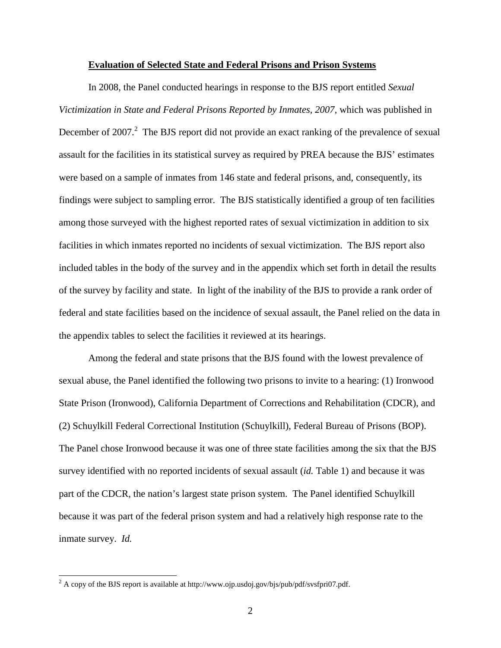## **Evaluation of Selected State and Federal Prisons and Prison Systems**

In 2008, the Panel conducted hearings in response to the BJS report entitled *Sexual Victimization in State and Federal Prisons Reported by Inmates, 2007*, which was published in December of 2007. $^2$  The BJS report did not provide an exact ranking of the prevalence of sexual assault for the facilities in its statistical survey as required by PREA because the BJS' estimates were based on a sample of inmates from 146 state and federal prisons, and, consequently, its findings were subject to sampling error. The BJS statistically identified a group of ten facilities among those surveyed with the highest reported rates of sexual victimization in addition to six facilities in which inmates reported no incidents of sexual victimization. The BJS report also included tables in the body of the survey and in the appendix which set forth in detail the results of the survey by facility and state. In light of the inability of the BJS to provide a rank order of federal and state facilities based on the incidence of sexual assault, the Panel relied on the data in the appendix tables to select the facilities it reviewed at its hearings.

Among the federal and state prisons that the BJS found with the lowest prevalence of sexual abuse, the Panel identified the following two prisons to invite to a hearing: (1) Ironwood State Prison (Ironwood), California Department of Corrections and Rehabilitation (CDCR), and (2) Schuylkill Federal Correctional Institution (Schuylkill), Federal Bureau of Prisons (BOP). The Panel chose Ironwood because it was one of three state facilities among the six that the BJS survey identified with no reported incidents of sexual assault (*id.* Table 1) and because it was part of the CDCR, the nation's largest state prison system. The Panel identified Schuylkill because it was part of the federal prison system and had a relatively high response rate to the inmate survey. *Id.*

 $2 A$  copy of the BJS report is available at http://www.ojp.usdoj.gov/bjs/pub/pdf/svsfpri07.pdf.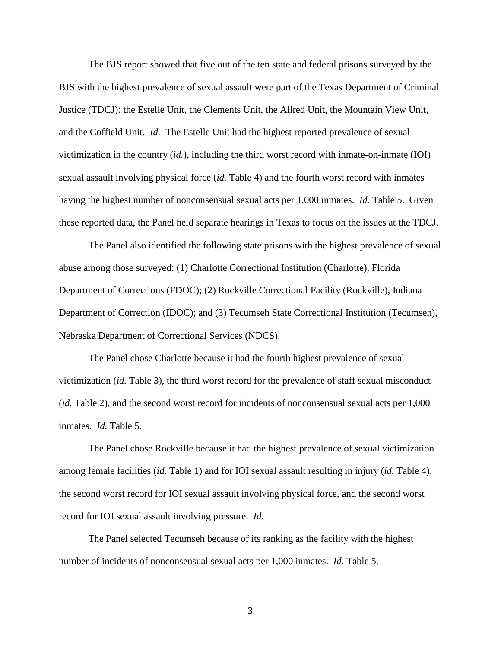The BJS report showed that five out of the ten state and federal prisons surveyed by the BJS with the highest prevalence of sexual assault were part of the Texas Department of Criminal Justice (TDCJ): the Estelle Unit, the Clements Unit, the Allred Unit, the Mountain View Unit, and the Coffield Unit. *Id.* The Estelle Unit had the highest reported prevalence of sexual victimization in the country (*id.*), including the third worst record with inmate-on-inmate (IOI) sexual assault involving physical force (*id.* Table 4) and the fourth worst record with inmates having the highest number of nonconsensual sexual acts per 1,000 inmates. *Id.* Table 5. Given these reported data, the Panel held separate hearings in Texas to focus on the issues at the TDCJ.

The Panel also identified the following state prisons with the highest prevalence of sexual abuse among those surveyed: (1) Charlotte Correctional Institution (Charlotte), Florida Department of Corrections (FDOC); (2) Rockville Correctional Facility (Rockville), Indiana Department of Correction (IDOC); and (3) Tecumseh State Correctional Institution (Tecumseh), Nebraska Department of Correctional Services (NDCS).

The Panel chose Charlotte because it had the fourth highest prevalence of sexual victimization (*id.* Table 3), the third worst record for the prevalence of staff sexual misconduct (*id.* Table 2), and the second worst record for incidents of nonconsensual sexual acts per 1,000 inmates. *Id.* Table 5.

The Panel chose Rockville because it had the highest prevalence of sexual victimization among female facilities (*id.* Table 1) and for IOI sexual assault resulting in injury (*id.* Table 4), the second worst record for IOI sexual assault involving physical force, and the second worst record for IOI sexual assault involving pressure. *Id.*

The Panel selected Tecumseh because of its ranking as the facility with the highest number of incidents of nonconsensual sexual acts per 1,000 inmates. *Id.* Table 5.

3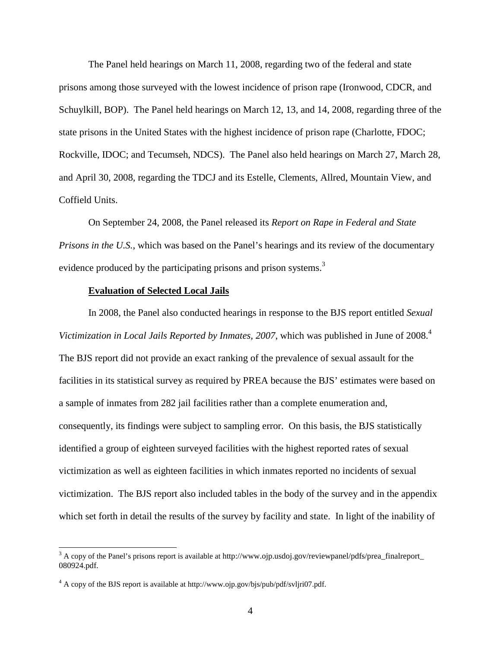The Panel held hearings on March 11, 2008, regarding two of the federal and state prisons among those surveyed with the lowest incidence of prison rape (Ironwood, CDCR, and Schuylkill, BOP). The Panel held hearings on March 12, 13, and 14, 2008, regarding three of the state prisons in the United States with the highest incidence of prison rape (Charlotte, FDOC; Rockville, IDOC; and Tecumseh, NDCS). The Panel also held hearings on March 27, March 28, and April 30, 2008, regarding the TDCJ and its Estelle, Clements, Allred, Mountain View, and Coffield Units.

On September 24, 2008, the Panel released its *Report on Rape in Federal and State Prisons in the U.S.*, which was based on the Panel's hearings and its review of the documentary evidence produced by the participating prisons and prison systems.<sup>3</sup>

## **Evaluation of Selected Local Jails**

In 2008, the Panel also conducted hearings in response to the BJS report entitled *Sexual*  Victimization in Local Jails Reported by Inmates, 2007, which was published in June of 2008.<sup>4</sup> The BJS report did not provide an exact ranking of the prevalence of sexual assault for the facilities in its statistical survey as required by PREA because the BJS' estimates were based on a sample of inmates from 282 jail facilities rather than a complete enumeration and, consequently, its findings were subject to sampling error. On this basis, the BJS statistically identified a group of eighteen surveyed facilities with the highest reported rates of sexual victimization as well as eighteen facilities in which inmates reported no incidents of sexual victimization. The BJS report also included tables in the body of the survey and in the appendix which set forth in detail the results of the survey by facility and state. In light of the inability of

 $3$  A copy of the Panel's prisons report is available at http://www.ojp.usdoj.gov/reviewpanel/pdfs/prea\_finalreport\_ 080924.pdf.

<sup>&</sup>lt;sup>4</sup> A copy of the BJS report is available at http://www.ojp.gov/bjs/pub/pdf/svljri07.pdf.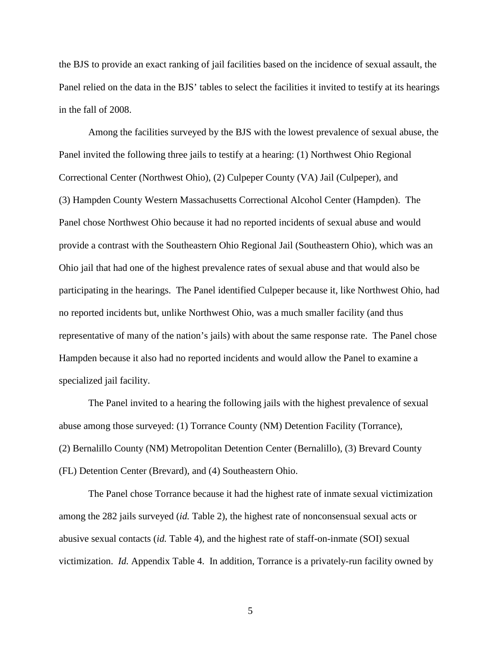the BJS to provide an exact ranking of jail facilities based on the incidence of sexual assault, the Panel relied on the data in the BJS' tables to select the facilities it invited to testify at its hearings in the fall of 2008.

Among the facilities surveyed by the BJS with the lowest prevalence of sexual abuse, the Panel invited the following three jails to testify at a hearing: (1) Northwest Ohio Regional Correctional Center (Northwest Ohio), (2) Culpeper County (VA) Jail (Culpeper), and (3) Hampden County Western Massachusetts Correctional Alcohol Center (Hampden). The Panel chose Northwest Ohio because it had no reported incidents of sexual abuse and would provide a contrast with the Southeastern Ohio Regional Jail (Southeastern Ohio), which was an Ohio jail that had one of the highest prevalence rates of sexual abuse and that would also be participating in the hearings. The Panel identified Culpeper because it, like Northwest Ohio, had no reported incidents but, unlike Northwest Ohio, was a much smaller facility (and thus representative of many of the nation's jails) with about the same response rate. The Panel chose Hampden because it also had no reported incidents and would allow the Panel to examine a specialized jail facility.

The Panel invited to a hearing the following jails with the highest prevalence of sexual abuse among those surveyed: (1) Torrance County (NM) Detention Facility (Torrance), (2) Bernalillo County (NM) Metropolitan Detention Center (Bernalillo), (3) Brevard County (FL) Detention Center (Brevard), and (4) Southeastern Ohio.

The Panel chose Torrance because it had the highest rate of inmate sexual victimization among the 282 jails surveyed (*id.* Table 2), the highest rate of nonconsensual sexual acts or abusive sexual contacts (*id.* Table 4), and the highest rate of staff-on-inmate (SOI) sexual victimization. *Id.* Appendix Table 4. In addition, Torrance is a privately-run facility owned by

5